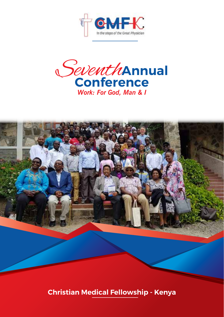





Christian Medical Fellowship - Kenya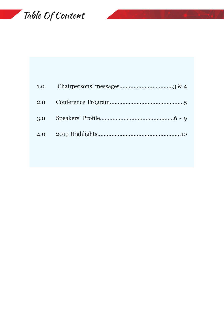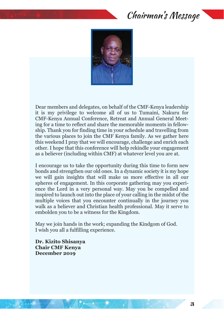## Chairman's Message



Dear members and delegates, on behalf of the CMF-Kenya leadership it is my privilege to welcome all of us to Tumaini, Nakuru for CMF-Kenya Annual Conference, Retreat and Annual General Meeting for a time to reflect and share the memorable moments in fellowship. Thank you for finding time in your schedule and travelling from the various places to join the CMF Kenya family. As we gather here this weekend I pray that we will encourage, challenge and enrich each other. I hope that this conference will help rekindle your engagement as a believer (including within CMF) at whatever level you are at.

I encourage us to take the opportunity during this time to form new bonds and strengthen our old ones. In a dynamic society it is my hope we will gain insights that will make us more effective in all our spheres of engagement. In this corporate gathering may you experience the Lord in a very personal way. May you be compelled and inspired to launch out into the place of your calling in the midst of the multiple voices that you encounter continually in the journey you walk as a believer and Christian health professional. May it serve to embolden you to be a witness for the Kingdom.

May we join hands in the work; expanding the Kindgom of God. I wish you all a fulfilling experience.

**Dr. Kizito Shisanya Chair CMF Kenya December 2019**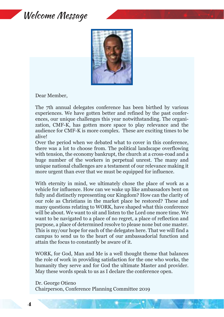## Welcome Message



Dear Member,

The 7th annual delegates conference has been birthed by various experiences. We have gotten better and refined by the past conferences, our unique challenges this year notwithstanding. The organization, CMF-K, has gotten more space to play relevance and the audience for CMF-K is more complex. These are exciting times to be alive!

Over the period when we debated what to cover in this conference, there was a lot to choose from. The political landscape overflowing with tension, the economy bankrupt, the church at a cross-road and a huge number of the workers in perpetual unrest. The many and unique national challenges are a testament of our relevance making it more urgent than ever that we must be equipped for influence.

With eternity in mind, we ultimately chose the place of work as a vehicle for influence. How can we wake up like ambassadors bent on fully and distinctly representing our Kingdom? How can the clarity of our role as Christians in the market place be restored? These and many questions relating to WORK, have shaped what this conference will be about. We want to sit and listen to the Lord one more time. We want to be navigated to a place of no regret, a place of reflection and purpose, a place of determined resolve to please none but one master. This is my/our hope for each of the delegates here. That we will find a campus to send us to the heart of our ambassadorial function and attain the focus to constantly be aware of it.

WORK, for God, Man and Me is a well thought theme that balances the role of work in providing satisfaction for the one who works, the humanity they serve and for God the ultimate Master and provider. May these words speak to us as I declare the conference open.

Dr. George Otieno Chairperson, Conference Planning Committee 2019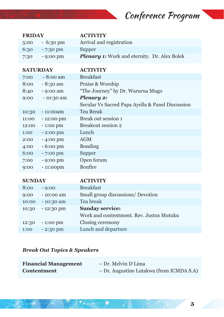

| <b>FRIDAY</b>   |                    | <b>ACTIVITY</b>                                  |
|-----------------|--------------------|--------------------------------------------------|
| 5:00            | $-6:30 \text{ pm}$ | Arrival and registration                         |
| 6:30            | - 7:30 pm          | Supper                                           |
| 7:30            | - 9:00 pm          | Plenary 1: Work and eternity. Dr. Alex Bolek     |
| <b>SATURDAY</b> |                    | <b>ACTIVITY</b>                                  |
| 7:00            | $-8:00 am$         | <b>Breakfast</b>                                 |
| 8:00            | - 8:30 am          | Praise & Worship                                 |
| 8:40            | - 9:00 am          | "The Journey" by Dr. Warurua Mugo                |
| 9:00            | - 10:30 am         | <b>Plenary 2:</b>                                |
|                 |                    | Secular Vs Sacred Papa Ayella & Panel Discussion |
| 10:30           | $-11:00am$         | Tea Break                                        |
| 11:00           | $-12:00$ pm        | Break out session 1                              |
| 12:00           | $-1:00$ pm         | Breakout session 2                               |
| 1:00            | $-2:00$ pm         | Lunch                                            |
| 2:00            | $-4:00 \text{ pm}$ | <b>AGM</b>                                       |
| 4:00            | $-6:00 \text{ pm}$ | <b>Bonding</b>                                   |
| 6:00            | $-7:00 \text{ pm}$ | Supper                                           |
| 7:00            | $-9:00 \text{ pm}$ | Open forum                                       |
| 9:00            | $-11:00$ pm        | <b>Bonfire</b>                                   |
|                 |                    |                                                  |
| <b>SUNDAY</b>   |                    | <b>ACTIVITY</b>                                  |
| 8:00            | $-9:00$            | <b>Breakfast</b>                                 |
| 9:00            | - 10:00 am         | Small group discussions/ Devotion                |
| 10:00           | - 10:30 am         | Tea break                                        |
| 10:30           | $-12:30$ pm        | <b>Sunday service:</b>                           |
|                 |                    | Work and contentment. Rev. Justus Mutuku         |
| 12:30           | $-1:00$ pm         | Closing ceremony                                 |
| 1:00            | $-2:30$ pm         | Lunch and departure                              |

## *Break Out Topics & Speakers*

| <b>Financial Management</b> | – Dr. Melvin D Lima                      |
|-----------------------------|------------------------------------------|
| <b>Contentment</b>          | - Dr. Augustine Lutakwa (from ICMDA S.A) |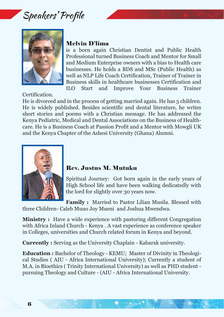# Speakers' Profile



## Melvin D'lima

is a born again Christian Dentist and Public Health Professional turned Business Coach and Mentor for Small and Medium Enterprise owners with a bias to Health care businesses. He holds a BDS and MSc (Public Health) as well as NLP Life Coach Certification, Trainer of Trainer in Business skills in healthcare businesses Certification and ILO Start and Improve Your Business Trainer

Certification.

He is divorced and in the process of getting married again. He has 5 children. He is widely published. Besides scientific and dental literature, he writes short stories and poems with a Christian message. He has addressed the Kenya Pediatric, Medical and Dental Associations on the Business of Healthcare. He is a Business Coach at Passion Profit and a Mentor with Mowgli UK and the Kenya Chapter of the Ashesi University (Ghana) Alumni.



### Rev. Justus M. Mutuku

Spiritual Journey: Got born again in the early years of High School life and have been walking dedicatedly with the lord for slightly over 30 years now.

**Family :** Married to Pastor Lilian Musila. Blessed with three Children- Caleb Muuo Joy Mueni and Joshua Mwendwa.

**Ministry :** Have a wide experience with pastoring different Congregation with Africa Inland Church - Kenya . A vast experience as conference speaker in Colleges, universities and Church related forum in Kenya and beyond.

**Currently :** Serving as the University Chaplain - Kabarak university.

**Education :** Bachelor of Theology - KEMU; Master of Divinity in Theological Studies ( AIU - Africa International University); Currently a student of M.A. in Bioethics ( Trinity International University) as well as PHD student pursuing Theology and Culture - (AIU - Africa International University.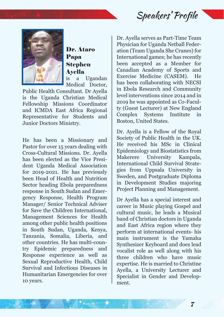## Speakers' Profile



Dr. Ataro Papa Stephen Ayella is a Ugandan Medical Doctor,

Public Health Consultant. Dr Ayella is the Uganda Christian Medical Fellowship Missions Coordinator and ICMDA East Africa Regional Representative for Students and Junior Doctors Ministry.

He has been a Missionary and Pastor for over 15 years dealing with Cross-Cultural Missions. Dr. Ayella has been elected as the Vice President Uganda Medical Association for 2019-2021. He has previously been Head of Health and Nutrition Sector heading Ebola preparedness response in South Sudan and Emergency Response, Health Program Manager/ Senior Technical Adviser for Save the Children International, Management Sciences for Health among other public health positions in South Sudan, Uganda, Kenya, Tanzania, Somalia, Liberia, and other countries. He has multi-country Epidemic preparedness and Response experience as well as Sexual Reproductive Health, Child Survival and Infectious Diseases in Humanitarian Emergencies for over 10 years.

Dr. Ayella serves as Part-Time Team Physician for Uganda Netball Federation (Team Uganda She Cranes) for International games; he has recently been accepted as a Member for Canadian Academy of Sports and Exercise Medicine (CASEM). He has been collaborating with NECSI in Ebola Research and Community level interventions since 2014 and in 2019 he was appointed as Co-Faculty (Guest Lecturer) at New England Complex Systems Institute in Boston, United States.

Dr. Ayella is a Fellow of the Royal Society of Public Health in the UK. He received his MSc in Clinical Epidemiology and Biostatistics from Makerere University Kampala, International Child Survival Strategies from Uppsala University in Sweden, and Postgraduate Diploma in Development Studies majoring Project Planning and Management.

Dr Ayella has a special interest and career in Music playing Gospel and cultural music, he leads a Musical band of Christian doctors in Uganda and East Africa region where they perform at international events- his main instrument is the Yamaha Synthesizer Keyboard and does lead vocalist role as well along with his three children who have music expertise. He is married to Christine Ayella, a University Lecturer and Specialist in Gender and Development.

7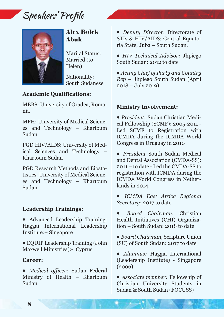# Speakers' Profile



## Alex Bolek Abuk

Marital Status: Married (to Helen)

Nationality: South Sudanese

## **Academic Qualifications:**

MBBS: University of Oradea, Romania

MPH: University of Medical Sciences and Technology – Khartoum Sudan

PGD HIV/AIDS: University of Medical Sciences and Technology – Khartoum Sudan

PGD Research Methods and Biostatistics: University of Medical Sciences and Technology – Khartoum Sudan

## **Leadership Trainings:**

• Advanced Leadership Training: Haggai International Leadership Institute:– Singapore

• EQUIP Leadership Training (John Maxwell Ministries):- Cyprus

#### **Career:**

• *Medical officer:* Sudan Federal Ministry of Health – Khartoum Sudan

• *Deputy Director*, Directorate of STIs & HIV/AIDS: Central Equatoria State, Juba – South Sudan.

• *HIV Technical Advisor:* Jhpiego South Sudan: 2012 to date

• *Acting Chief of Party and Country Rep –* Jhpiego South Sudan (April  $2018 - July 2019$ 

#### **Ministry Involvement:**

• *President:* Sudan Christian Medical Fellowship (SCMF): 2005-2011 - Led SCMF to Registration with ICMDA during the ICMDA World Congress in Uruguay in 2010

• *President* South Sudan Medical and Dental Association (CMDA-SS): 2011 – to date - Led the CMDA-SS to registration with ICMDA during the ICMDA World Congress in Netherlands in 2014.

• *ICMDA East Africa Regional Secretary*: 2017 to date

• *Board Chairman*: Christian Health Initiatives (CHI) Organization – South Sudan: 2018 to date

• *Board Chairman*, Scripture Union (SU) of South Sudan: 2017 to date

• *Alumnus:* Haggai International (Leadership Institute) - Singapore  $(2006)$ 

• *Associate member:* Fellowship of Christian University Students in Sudan & South Sudan (FOCUSS)

8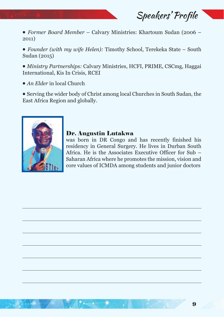Speakers' Profile

• *Former Board Member* – Calvary Ministries: Khartoum Sudan (2006 – 2011)

• *Founder (with my wife Helen):* Timothy School, Terekeka State – South Sudan (2015)

• *Ministry Partnerships:* Calvary Ministries, HCFI, PRIME, CSCmg, Haggai International, Kis In Crisis, RCEI

• *An Elder* in local Church

• Serving the wider body of Christ among local Churches in South Sudan, the East Africa Region and globally.



## Dr. Augustin Lutakwa

was born in DR Congo and has recently finished his residency in General Surgery. He lives in Durban South Africa. He is the Associates Executive Officer for Sub – Saharan Africa where he promotes the mission, vision and core values of ICMDA among students and junior doctors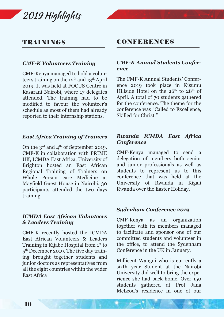

## TRAININGS

### *CMF-K Volunteers Training*

CMF-Kenya managed to hold a volunteers training on the 12th and 13th April 2019. It was held at FOCUS Centre in Kasarani Nairobi, where 17 delegates attended. The training had to be modified to favour the volunteer's schedule as most of them had already reported to their internship stations.

#### *East Africa Training of Trainers*

On the 3<sup>rd</sup> and 4<sup>th</sup> of September 2019, CMF-K in collaboration with PRIME UK, ICMDA East Africa, University of Brighton hosted an East African Regional Training of Trainers on Whole Person care Medicine at Mayfield Guest House in Nairobi. 30 participants attended the two days training

#### *ICMDA East African Volunteers & Leaders Training*

CMF-K recently hosted the ICMDA East African Volunteers & Leaders Training in Kijabe Hospital from 1st to 5th December 2019. The five day training brought together students and junior doctors as representatives from all the eight countries within the wider East Africa

### **CONFERENCES**

### *CMF-K Annual Students Conference*

The CMF-K Annual Students' Conference 2019 took place in Kisumu Hillside Hotel on the  $26<sup>th</sup>$  to  $28<sup>th</sup>$  of April. A total of 70 students gathered for the conference. The theme for the conference was "Called to Excellence, Skilled for Christ."

### *Rwanda ICMDA East Africa Conference*

CMF-Kenya managed to send a delegation of members both senior and junior professionals as well as students to represent us to this conference that was held at the University of Rwanda in Kigali Rwanda over the Easter Holiday.

#### *Sydenham Conference 2019*

CMF-Kenya as an organization together with its members managed to facilitate and sponsor one of our committed students and volunteer in the office, to attend the Sydenham Conference in the UK in January.

Millicent Wangui who is currently a sixth year Student at the Nairobi University did well to bring the experience she had back home. Over 150 students gathered at Prof Jana McLeod's residence in one of our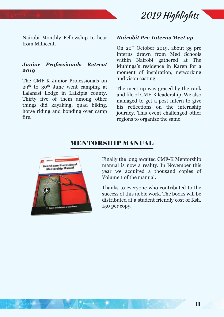2019 Highlights

Nairobi Monthly Fellowship to hear from Millicent.

#### *Junior Professionals Retreat 2019*

The CMF-K Junior Professionals on  $29<sup>th</sup>$  to  $30<sup>th</sup>$  June went camping at Lalanasi Lodge in Laikipia county. Thirty five of them among other things did kayaking, quad biking, horse riding and bonding over camp fire.

#### *Nairobit Pre-Interns Meet up*

On 20th October 2019, about 35 pre interns drawn from Med Schools within Nairobi gathered at The Muhinga's residence in Karen for a moment of inspiration, networking and vison casting.

The meet up was graced by the rank and file of CMF-K leadership. We also managed to get a post intern to give his reflections on the internship journey. This event challenged other regions to organize the same.

### MENTORSHIP MANUAL



Finally the long awaited CMF-K Mentorship manual is now a reality. In November this year we acquired a thousand copies of Volume 1 of the manual.

Thanks to everyone who contributed to the success of this noble work. The books will be distributed at a student friendly cost of Ksh. 150 per copy.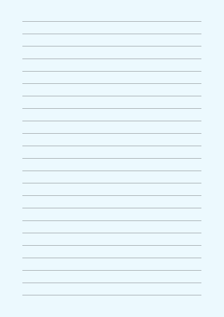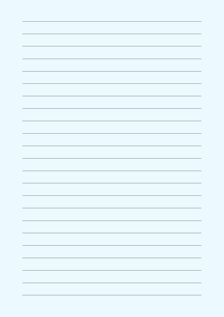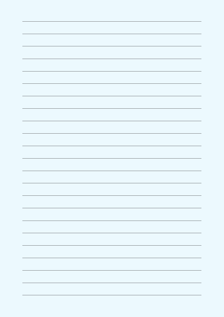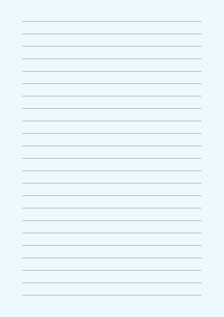